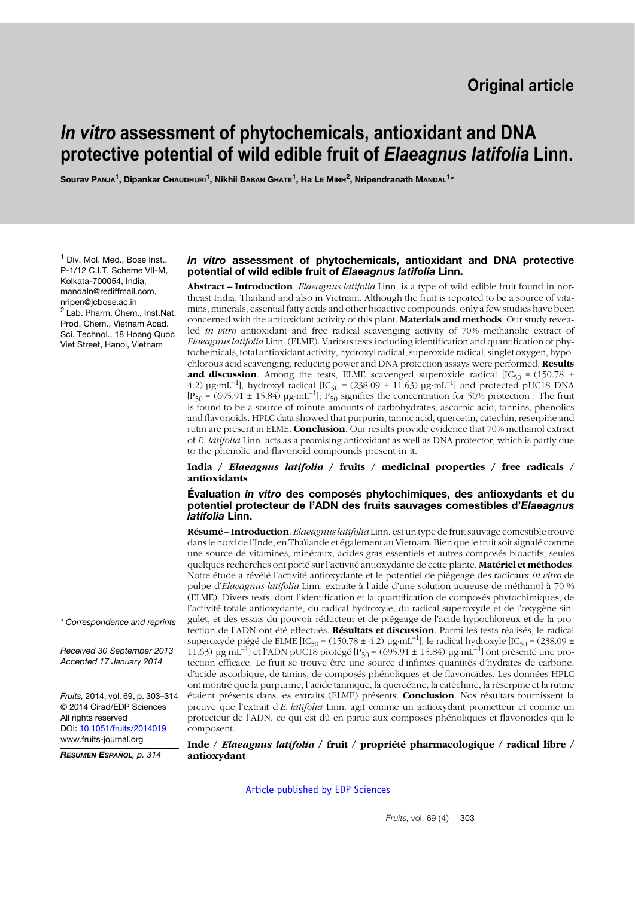# *In vitro* **assessment of phytochemicals, antioxidant and DNA protective potential of wild edible fruit of** *Elaeagnus latifolia* **Linn.**

**Sourav PANJA1, Dipankar CHAUDHURI1, Nikhil BABAN GHATE1, Ha LE MINH2, Nripendranath MANDAL1\***

<sup>1</sup> Div. Mol. Med., Bose Inst., P-1/12 C.I.T. Scheme VII-M, Kolkata-700054, India, mandaln@rediffmail.com, nripen@jcbose.ac.in <sup>2</sup> Lab. Pharm. Chem., Inst.Nat. Prod. Chem., Vietnam Acad. Sci. Technol., 18 Hoang Quoc Viet Street, Hanoi, Vietnam

#### *In vitro* **assessment of phytochemicals, antioxidant and DNA protective potential of wild edible fruit of** *Elaeagnus latifolia* **Linn.**

**Abstract – Introduction**. *Elaeagnus latifolia* Linn. is a type of wild edible fruit found in northeast India, Thailand and also in Vietnam. Although the fruit is reported to be a source of vitamins, minerals, essential fatty acids and other bioactive compounds, only a few studies have been concerned with the antioxidant activity of this plant. **Materials and methods**. Our study revealed *in vitro* antioxidant and free radical scavenging activity of 70% methanolic extract of *Elaeagnus latifolia* Linn. (ELME). Various tests including identification and quantification of phytochemicals, total antioxidant activity, hydroxyl radical, superoxide radical, singlet oxygen, hypochlorous acid scavenging, reducing power and DNA protection assays were performed. **Results and discussion**. Among the tests, ELME scavenged superoxide radical [IC50 = (150.78 ± 4.2)  $\mu$ g⋅mL<sup>-1</sup>], hydroxyl radical [IC<sub>50</sub> = (238.09 ± 11.63)  $\mu$ g⋅mL<sup>-1</sup>] and protected pUC18 DNA  $[P_{50} = (695.91 \pm 15.84) \text{ µg} \cdot \text{mL}^{-1}]$ ;  $P_{50}$  signifies the concentration for 50% protection. The fruit is found to be a source of minute amounts of carbohydrates, ascorbic acid, tannins, phenolics and flavonoids. HPLC data showed that purpurin, tannic acid, quercetin, catechin, reserpine and rutin are present in ELME. **Conclusion**. Our results provide evidence that 70% methanol extract of *E. latifolia* Linn. acts as a promising antioxidant as well as DNA protector, which is partly due to the phenolic and flavonoid compounds present in it.

**India /** *Elaeagnus latifolia* **/ fruits / medicinal properties / free radicals / antioxidants**

**Évaluation** *in vitro* **des composés phytochimiques, des antioxydants et du potentiel protecteur de l'ADN des fruits sauvages comestibles d'***Elaeagnus latifolia* **Linn.**

**Résumé** – **Introduction**. *Elaeagnus latifolia* Linn. est un type de fruit sauvage comestible trouvé dans le nord de l'Inde, en Thaïlande et également au Vietnam. Bien que le fruit soit signalé comme une source de vitamines, minéraux, acides gras essentiels et autres composés bioactifs, seules quelques recherches ont porté sur l'activité antioxydante de cette plante. **Matériel et méthodes**. Notre étude a révélé l'activité antioxydante et le potentiel de piégeage des radicaux *in vitro* de pulpe d'*Elaeagnus latifolia* Linn. extraite à l'aide d'une solution aqueuse de méthanol à 70 % (ELME). Divers tests, dont l'identification et la quantification de composés phytochimiques, de l'activité totale antioxydante, du radical hydroxyle, du radical superoxyde et de l'oxygène singulet, et des essais du pouvoir réducteur et de piégeage de l'acide hypochloreux et de la protection de l'ADN ont été effectués. **Résultats et discussion**. Parmi les tests réalisés, le radical superoxyde piégé de ELME [IC<sub>50</sub> = (150.78 ± 4.2) µg⋅mL<sup>-1</sup>], le radical hydroxyle [IC<sub>50</sub> = (238.09 ± 11.63)  $\mu$ g⋅mL<sup>-1</sup>] et l'ADN pUC18 protégé [P<sub>50</sub> = (695.91 ± 15.84)  $\mu$ g⋅mL<sup>-1</sup>] ont présenté une protection efficace. Le fruit se trouve être une source d'infimes quantités d'hydrates de carbone, d'acide ascorbique, de tanins, de composés phénoliques et de flavonoïdes. Les données HPLC ont montré que la purpurine, l'acide tannique, la quercétine, la catéchine, la réserpine et la rutine étaient présents dans les extraits (ELME) présents. **Conclusion**. Nos résultats fournissent la preuve que l'extrait d'*E. latifolia* Linn. agit comme un antioxydant prometteur et comme un protecteur de l'ADN, ce qui est dû en partie aux composés phénoliques et flavonoïdes qui le composent.

**Inde /** *Elaeagnus latifolia* **/ fruit / propriété pharmacologique / radical libre / antioxydant**

[Article published by EDP Sciences](http://publications.edpsciences.org)

*\* Correspondence and reprints*

*Received 30 September 2013 Accepted 17 January 2014*

*Fruits,* 2014, vol. 69, p. 303–314 © 2014 Cirad/EDP Sciences All rights reserved DOI: [10.1051/fruits/2014019](http://dx.doi.org/10.1051/fruits/2014019) www.fruits-journal.org

*RESUMEN ESPAÑOL, p. 314*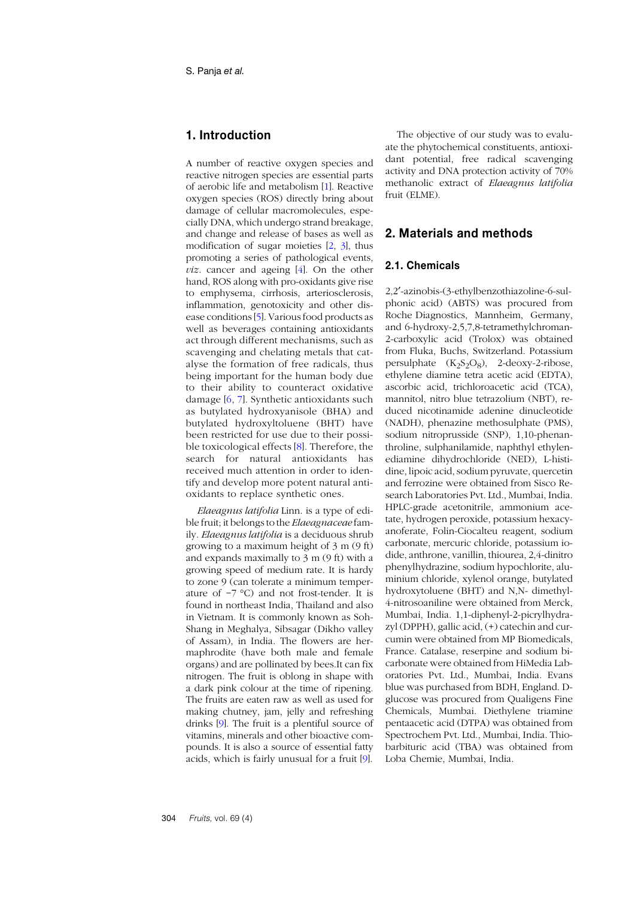# **1. Introduction**

A number of reactive oxygen species and reactive nitrogen species are essential parts of aerobic life and metabolism [[1](#page-9-0)]. Reactive oxygen species (ROS) directly bring about damage of cellular macromolecules, especially DNA, which undergo strand breakage, and change and release of bases as well as modification of sugar moieties [\[2](#page-9-1), [3](#page-9-2)], thus promoting a series of pathological events, *viz*. cancer and ageing [\[4](#page-9-3)]. On the other hand, ROS along with pro-oxidants give rise to emphysema, cirrhosis, arteriosclerosis, inflammation, genotoxicity and other disease conditions [\[5](#page-9-4)]. Various food products as well as beverages containing antioxidants act through different mechanisms, such as scavenging and chelating metals that catalyse the formation of free radicals, thus being important for the human body due to their ability to counteract oxidative damage [\[6](#page-9-5), [7](#page-9-6)]. Synthetic antioxidants such as butylated hydroxyanisole (BHA) and butylated hydroxyltoluene (BHT) have been restricted for use due to their possible toxicological effects [[8](#page-9-7)]. Therefore, the search for natural antioxidants has received much attention in order to identify and develop more potent natural antioxidants to replace synthetic ones.

*Elaeagnus latifolia* Linn. is a type of edible fruit; it belongs to the *Elaeagnaceae* family. *Elaeagnus latifolia* is a deciduous shrub growing to a maximum height of 3 m (9 ft) and expands maximally to 3 m (9 ft) with a growing speed of medium rate. It is hardy to zone 9 (can tolerate a minimum temperature of −7 °C) and not frost-tender. It is found in northeast India, Thailand and also in Vietnam. It is commonly known as Soh-Shang in Meghalya, Sibsagar (Dikho valley of Assam), in India. The flowers are hermaphrodite (have both male and female organs) and are pollinated by bees.It can fix nitrogen. The fruit is oblong in shape with a dark pink colour at the time of ripening. The fruits are eaten raw as well as used for making chutney, jam, jelly and refreshing drinks [\[9](#page-9-8)]. The fruit is a plentiful source of vitamins, minerals and other bioactive compounds. It is also a source of essential fatty acids, which is fairly unusual for a fruit [\[9](#page-9-8)].

The objective of our study was to evaluate the phytochemical constituents, antioxidant potential, free radical scavenging activity and DNA protection activity of 70% methanolic extract of *Elaeagnus latifolia* fruit (ELME).

### **2. Materials and methods**

#### **2.1. Chemicals**

2,2′-azinobis-(3-ethylbenzothiazoline-6-sulphonic acid) (ABTS) was procured from Roche Diagnostics, Mannheim, Germany, and 6-hydroxy-2,5,7,8-tetramethylchroman-2-carboxylic acid (Trolox) was obtained from Fluka, Buchs, Switzerland. Potassium persulphate  $(K_2S_2O_8)$ , 2-deoxy-2-ribose, ethylene diamine tetra acetic acid (EDTA), ascorbic acid, trichloroacetic acid (TCA), mannitol, nitro blue tetrazolium (NBT), reduced nicotinamide adenine dinucleotide (NADH), phenazine methosulphate (PMS), sodium nitroprusside (SNP), 1,10-phenanthroline, sulphanilamide, naphthyl ethylenediamine dihydrochloride (NED), L-histidine, lipoic acid, sodium pyruvate, quercetin and ferrozine were obtained from Sisco Research Laboratories Pvt. Ltd., Mumbai, India. HPLC-grade acetonitrile, ammonium acetate, hydrogen peroxide, potassium hexacyanoferate, Folin-Ciocalteu reagent, sodium carbonate, mercuric chloride, potassium iodide, anthrone, vanillin, thiourea, 2,4-dinitro phenylhydrazine, sodium hypochlorite, aluminium chloride, xylenol orange, butylated hydroxytoluene (BHT) and N,N- dimethyl-4-nitrosoaniline were obtained from Merck, Mumbai, India. 1,1-diphenyl-2-picrylhydrazyl (DPPH), gallic acid, (+) catechin and curcumin were obtained from MP Biomedicals, France. Catalase, reserpine and sodium bicarbonate were obtained from HiMedia Laboratories Pvt. Ltd., Mumbai, India. Evans blue was purchased from BDH, England. Dglucose was procured from Qualigens Fine Chemicals, Mumbai. Diethylene triamine pentaacetic acid (DTPA) was obtained from Spectrochem Pvt. Ltd., Mumbai, India. Thiobarbituric acid (TBA) was obtained from Loba Chemie, Mumbai, India.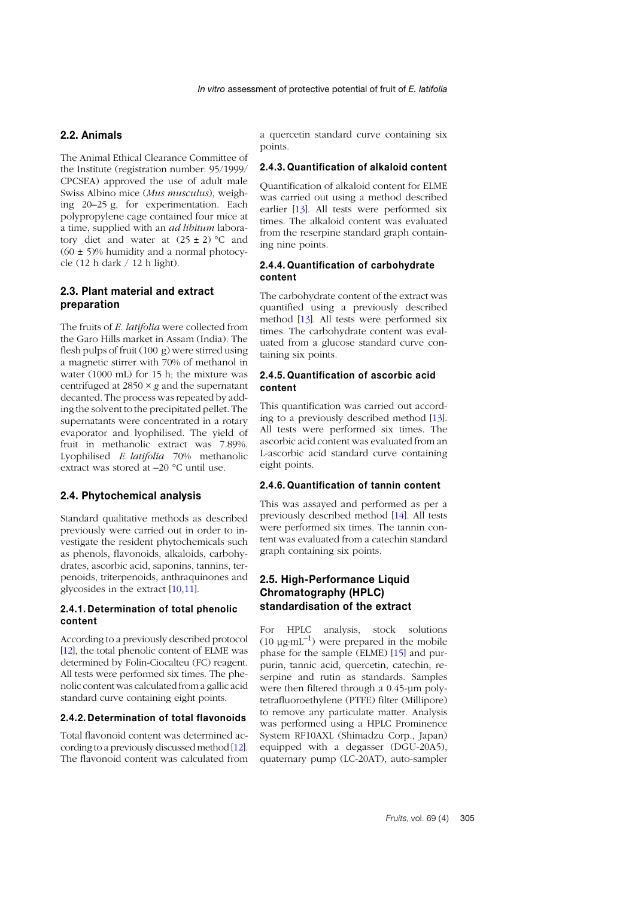### **2.2. Animals**

The Animal Ethical Clearance Committee of the Institute (registration number: 95/1999/ CPCSEA) approved the use of adult male Swiss Albino mice (*Mus musculus*), weighing 20–25 g, for experimentation. Each polypropylene cage contained four mice at a time, supplied with an *ad libitum* laboratory diet and water at  $(25 \pm 2)$  °C and  $(60 \pm 5)\%$  humidity and a normal photocycle (12 h dark / 12 h light).

### **2.3. Plant material and extract preparation**

The fruits of *E. latifolia* were collected from the Garo Hills market in Assam (India). The flesh pulps of fruit (100 g) were stirred using a magnetic stirrer with 70% of methanol in water (1000 mL) for 15 h; the mixture was centrifuged at 2850 × *g* and the supernatant decanted. The process was repeated by adding the solvent to the precipitated pellet. The supernatants were concentrated in a rotary evaporator and lyophilised. The yield of fruit in methanolic extract was 7.89%. Lyophilised *E. latifolia* 70% methanolic extract was stored at –20 °C until use.

### **2.4. Phytochemical analysis**

Standard qualitative methods as described previously were carried out in order to investigate the resident phytochemicals such as phenols, flavonoids, alkaloids, carbohydrates, ascorbic acid, saponins, tannins, terpenoids, triterpenoids, anthraquinones and glycosides in the extract [1[0](#page-9-9),1[1](#page-9-10)].

#### **2.4.1. Determination of total phenolic content**

According to a previously described protocol [1[2](#page-9-11)], the total phenolic content of ELME was determined by Folin-Ciocalteu (FC) reagent. All tests were performed six times. The phenolic content was calculated from a gallic acid standard curve containing eight points.

### **2.4.2. Determination of total flavonoids**

Total flavonoid content was determined according to a previously discussed method [[12](#page-9-11)]. The flavonoid content was calculated from a quercetin standard curve containing six points.

#### **2.4.3. Quantification of alkaloid content**

Quantification of alkaloid content for ELME was carried out using a method described earlier [[13](#page-9-12)]. All tests were performed six times. The alkaloid content was evaluated from the reserpine standard graph containing nine points.

### **2.4.4. Quantification of carbohydrate content**

The carbohydrate content of the extract was quantified using a previously described method [[13](#page-9-12)]. All tests were performed six times. The carbohydrate content was evaluated from a glucose standard curve containing six points.

#### **2.4.5. Quantification of ascorbic acid content**

This quantification was carried out according to a previously described method [[13](#page-9-12)]. All tests were performed six times. The ascorbic acid content was evaluated from an L-ascorbic acid standard curve containing eight points.

#### **2.4.6. Quantification of tannin content**

This was assayed and performed as per a previously described method [[14](#page-9-13)]. All tests were performed six times. The tannin content was evaluated from a catechin standard graph containing six points.

### **2.5. High-Performance Liquid Chromatography (HPLC) standardisation of the extract**

For HPLC analysis, stock solutions (10  $\mu$ g⋅mL<sup>-1</sup>) were prepared in the mobile phase for the sample (ELME) [1[5](#page-9-14)] and purpurin, tannic acid, quercetin, catechin, reserpine and rutin as standards. Samples were then filtered through a 0.45-µm polytetrafluoroethylene (PTFE) filter (Millipore) to remove any particulate matter. Analysis was performed using a HPLC Prominence System RF10AXL (Shimadzu Corp., Japan) equipped with a degasser (DGU-20A5), quaternary pump (LC-20AT), auto-sampler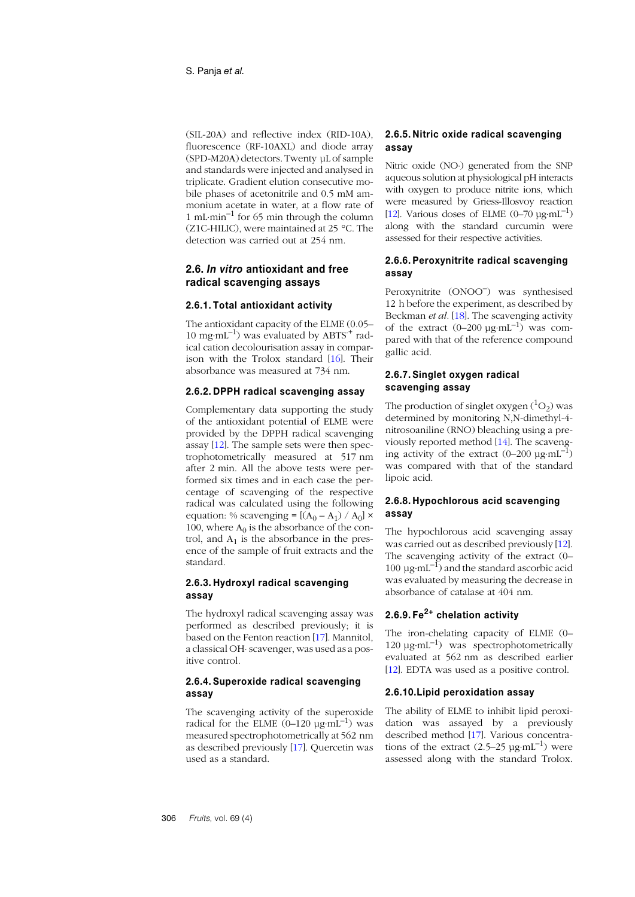(SIL-20A) and reflective index (RID-10A), fluorescence (RF-10AXL) and diode array (SPD-M20A) detectors. Twenty µL of sample and standards were injected and analysed in triplicate. Gradient elution consecutive mobile phases of acetonitrile and 0.5 mM ammonium acetate in water, at a flow rate of 1 mL⋅min<sup>-1</sup> for 65 min through the column (Z1C-HILIC), were maintained at 25 °C. The detection was carried out at 254 nm.

### **2.6.** *In vitro* **antioxidant and free radical scavenging assays**

#### **2.6.1. Total antioxidant activity**

The antioxidant capacity of the ELME (0.05– 10 mg⋅mL<sup>-1</sup>) was evaluated by ABTS<sup>+</sup> radical cation decolourisation assay in comparison with the Trolox standard [[16](#page-10-0)]. Their absorbance was measured at 734 nm.

#### **2.6.2. DPPH radical scavenging assay**

Complementary data supporting the study of the antioxidant potential of ELME were provided by the DPPH radical scavenging assay [[12](#page-9-11)]. The sample sets were then spectrophotometrically measured at 517 nm after 2 min. All the above tests were performed six times and in each case the percentage of scavenging of the respective radical was calculated using the following equation: % scavenging =  $[(A_0 - A_1) / A_0] \times$ 100, where  $A_0$  is the absorbance of the control, and  $A_1$  is the absorbance in the presence of the sample of fruit extracts and the standard.

### **2.6.3. Hydroxyl radical scavenging assay**

The hydroxyl radical scavenging assay was performed as described previously; it is based on the Fenton reaction [[17](#page-10-1)]. Mannitol, a classical OH⋅ scavenger, was used as a positive control.

### **2.6.4. Superoxide radical scavenging assay**

The scavenging activity of the superoxide radical for the ELME  $(0-120 \text{ µg} \cdot \text{mL}^{-1})$  was measured spectrophotometrically at 562 nm as described previously [[17](#page-10-1)]. Quercetin was used as a standard.

### **2.6.5. Nitric oxide radical scavenging assay**

Nitric oxide (NO⋅) generated from the SNP aqueous solution at physiological pH interacts with oxygen to produce nitrite ions, which were measured by Griess-Illosvoy reaction [[12](#page-9-11)]. Various doses of ELME  $(0-70 \text{ µg}·mL^{-1})$ along with the standard curcumin were assessed for their respective activities.

### **2.6.6. Peroxynitrite radical scavenging assay**

Peroxynitrite (ONOO–) was synthesised 12 h before the experiment, as described by Beckman *et al.* [1[8](#page-10-2)]. The scavenging activity of the extract  $(0-200 \text{ µg}·mL^{-1})$  was compared with that of the reference compound gallic acid.

#### **2.6.7. Singlet oxygen radical scavenging assay**

The production of singlet oxygen  $(^1O_2)$  was determined by monitoring N,N-dimethyl-4 nitrosoaniline (RNO) bleaching using a previously reported method [[14](#page-9-13)]. The scavenging activity of the extract  $(0-200 \mu g \cdot mL^{-1})$ was compared with that of the standard lipoic acid.

### **2.6.8. Hypochlorous acid scavenging assay**

The hypochlorous acid scavenging assay was carried out as described previously [1[2](#page-9-11)]. The scavenging activity of the extract (0– 100  $\mu$ g⋅mL<sup>-1</sup>) and the standard ascorbic acid was evaluated by measuring the decrease in absorbance of catalase at 404 nm.

# **2.6.9. Fe2+ chelation activity**

The iron-chelating capacity of ELME (0– 120  $\mu$ g⋅mL<sup>-1</sup>) was spectrophotometrically evaluated at 562 nm as described earlier [[12](#page-9-11)]. EDTA was used as a positive control.

#### **2.6.10.Lipid peroxidation assay**

The ability of ELME to inhibit lipid peroxidation was assayed by a previously described method [[17](#page-10-1)]. Various concentrations of the extract  $(2.5-25 \mu g \cdot mL^{-1})$  were assessed along with the standard Trolox.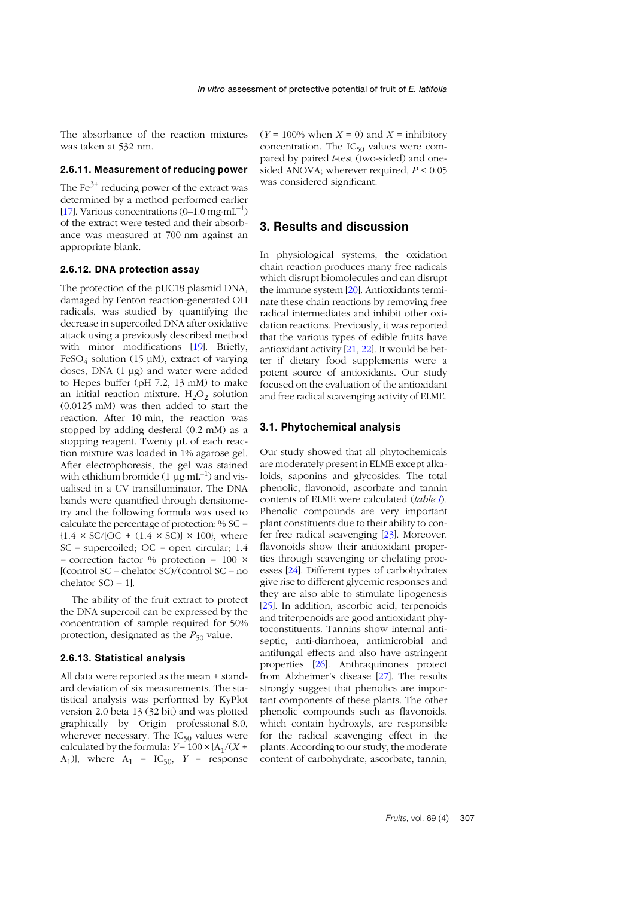The absorbance of the reaction mixtures was taken at 532 nm.

#### **2.6.11. Measurement of reducing power**

The  $\text{Fe}^{3+}$  reducing power of the extract was determined by a method performed earlier [1[7](#page-10-1)]. Various concentrations  $(0-1.0 \text{ mg} \cdot \text{mL}^{-1})$ of the extract were tested and their absorbance was measured at 700 nm against an appropriate blank.

#### **2.6.12. DNA protection assay**

The protection of the pUC18 plasmid DNA, damaged by Fenton reaction-generated OH radicals, was studied by quantifying the decrease in supercoiled DNA after oxidative attack using a previously described method with minor modifications [1[9](#page-10-3)]. Briefly,  $FeSO<sub>4</sub>$  solution (15 µM), extract of varying doses, DNA (1 µg) and water were added to Hepes buffer (pH 7.2, 13 mM) to make an initial reaction mixture.  $H_2O_2$  solution (0.0125 mM) was then added to start the reaction. After 10 min, the reaction was stopped by adding desferal (0.2 mM) as a stopping reagent. Twenty µL of each reaction mixture was loaded in 1% agarose gel. After electrophoresis, the gel was stained with ethidium bromide (1  $\mu$ g⋅mL<sup>-1</sup>) and visualised in a UV transilluminator. The DNA bands were quantified through densitometry and the following formula was used to calculate the percentage of protection: % SC =  ${1.4 \times SC/[OC + (1.4 \times SC)] \times 100}$ , where SC = supercoiled; OC = open circular; 1.4 = correction factor  $%$  protection = 100  $\times$  $[$ (control SC – chelator SC)/(control SC – no chelator SC) – 1].

The ability of the fruit extract to protect the DNA supercoil can be expressed by the concentration of sample required for 50% protection, designated as the  $P_{50}$  value.

#### **2.6.13. Statistical analysis**

All data were reported as the mean ± standard deviation of six measurements. The statistical analysis was performed by KyPlot version 2.0 beta 13 (32 bit) and was plotted graphically by Origin professional 8.0, wherever necessary. The  $IC_{50}$  values were calculated by the formula:  $Y = 100 \times [A_1/(X +$  $[A_1]$ , where  $A_1 = IC_{50}$ ,  $Y =$  response

 $(Y = 100\%$  when  $X = 0$ ) and  $X =$  inhibitory concentration. The  $IC_{50}$  values were compared by paired *t*-test (two-sided) and onesided ANOVA; wherever required, *P* < 0.05 was considered significant.

### **3. Results and discussion**

In physiological systems, the oxidation chain reaction produces many free radicals which disrupt biomolecules and can disrupt the immune system [2[0](#page-10-4)]. Antioxidants terminate these chain reactions by removing free radical intermediates and inhibit other oxidation reactions. Previously, it was reported that the various types of edible fruits have antioxidant activity [2[1](#page-10-5), 2[2](#page-10-6)]. It would be better if dietary food supplements were a potent source of antioxidants. Our study focused on the evaluation of the antioxidant and free radical scavenging activity of ELME.

#### **3.1. Phytochemical analysis**

Our study showed that all phytochemicals are moderately present in ELME except alkaloids, saponins and glycosides. The total phenolic, flavonoid, ascorbate and tannin contents of ELME were calculated (*table [I](#page-5-0)*)*.* Phenolic compounds are very important plant constituents due to their ability to confer free radical scavenging [2[3](#page-10-7)]. Moreover, flavonoids show their antioxidant properties through scavenging or chelating processes [2[4](#page-10-8)]. Different types of carbohydrates give rise to different glycemic responses and they are also able to stimulate lipogenesis [2[5](#page-10-9)]. In addition, ascorbic acid, terpenoids and triterpenoids are good antioxidant phytoconstituents. Tannins show internal antiseptic, anti-diarrhoea, antimicrobial and antifungal effects and also have astringent properties [[26](#page-10-10)]. Anthraquinones protect from Alzheimer's disease [2[7](#page-10-11)]. The results strongly suggest that phenolics are important components of these plants. The other phenolic compounds such as flavonoids, which contain hydroxyls, are responsible for the radical scavenging effect in the plants. According to our study, the moderate content of carbohydrate, ascorbate, tannin,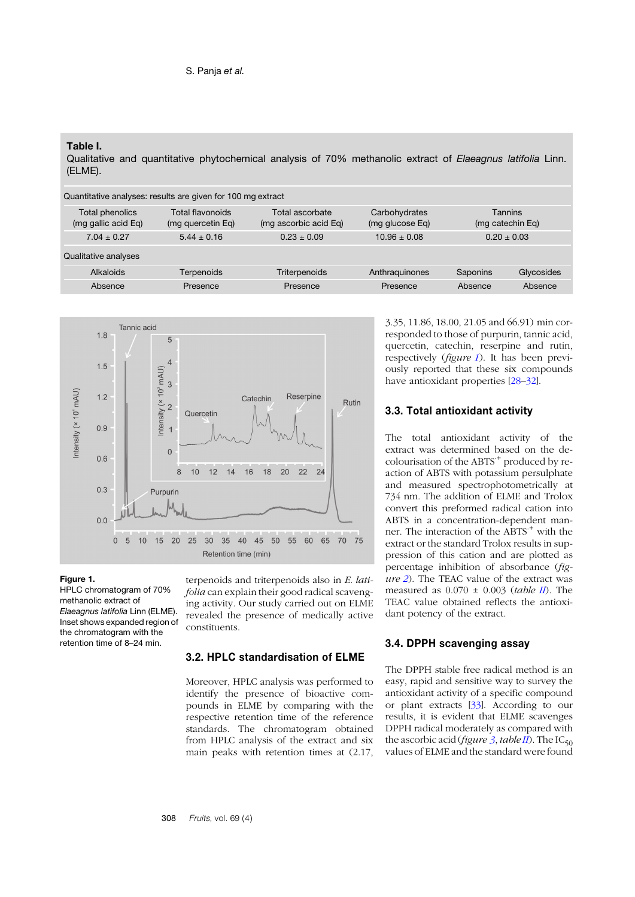#### <span id="page-5-0"></span>**Table I.**

Qualitative and quantitative phytochemical analysis of 70% methanolic extract of *Elaeagnus latifolia* Linn. (ELME).

| Quantitative analyses: results are given for 100 mg extract |                                       |                                          |                                  |          |                                    |  |  |
|-------------------------------------------------------------|---------------------------------------|------------------------------------------|----------------------------------|----------|------------------------------------|--|--|
| Total phenolics<br>(mg gallic acid Eq)                      | Total flavonoids<br>(mg quercetin Eg) | Total ascorbate<br>(mg ascorbic acid Eq) | Carbohydrates<br>(mg glucose Eq) |          | <b>Tannins</b><br>(mg catechin Eg) |  |  |
| $7.04 \pm 0.27$                                             | $5.44 \pm 0.16$                       | $0.23 \pm 0.09$                          | $10.96 \pm 0.08$                 |          | $0.20 \pm 0.03$                    |  |  |
| Qualitative analyses                                        |                                       |                                          |                                  |          |                                    |  |  |
| Alkaloids                                                   | Terpenoids                            | <b>Triterpenoids</b>                     | Anthraguinones                   | Saponins | Glycosides                         |  |  |
| Absence                                                     | Presence                              | Presence                                 | Presence                         | Absence  | Absence                            |  |  |



#### <span id="page-5-1"></span>**Figure 1.**

HPLC chromatogram of 70% methanolic extract of *Elaeagnus latifolia* Linn (ELME). Inset shows expanded region of the chromatogram with the retention time of 8–24 min.

terpenoids and triterpenoids also in *E. latifolia* can explain their good radical scavenging activity. Our study carried out on ELME revealed the presence of medically active constituents.

#### **3.2. HPLC standardisation of ELME**

Moreover, HPLC analysis was performed to identify the presence of bioactive compounds in ELME by comparing with the respective retention time of the reference standards. The chromatogram obtained from HPLC analysis of the extract and six main peaks with retention times at (2.17, 3.35, 11.86, 18.00, 21.05 and 66.91) min corresponded to those of purpurin, tannic acid, quercetin, catechin, reserpine and rutin, respectively (*figure [1](#page-5-1)*). It has been previously reported that these six compounds have antioxidant properties [2[8](#page-10-12)–[32](#page-10-13)].

#### **3.3. Total antioxidant activity**

The total antioxidant activity of the extract was determined based on the decolourisation of the ABTS<sup>+</sup> produced by reaction of ABTS with potassium persulphate and measured spectrophotometrically at 734 nm. The addition of ELME and Trolox convert this preformed radical cation into ABTS in a concentration-dependent manner. The interaction of the ABTS<sup>+</sup> with the extract or the standard Trolox results in suppression of this cation and are plotted as percentage inhibition of absorbance (*figure [2](#page-6-0)*). The TEAC value of the extract was measured as 0.070 ± 0.003 (*table I[I](#page-7-0)*). The TEAC value obtained reflects the antioxidant potency of the extract.

#### **3.4. DPPH scavenging assay**

The DPPH stable free radical method is an easy, rapid and sensitive way to survey the antioxidant activity of a specific compound or plant extracts [[33](#page-10-14)]. According to our results, it is evident that ELME scavenges DPPH radical moderately as compared with the ascorbic acid (*figure*  $\overline{3}$  $\overline{3}$  $\overline{3}$ *, table*  $\overline{II}$  $\overline{II}$  $\overline{II}$ *)*. The IC<sub>50</sub> values of ELME and the standard were found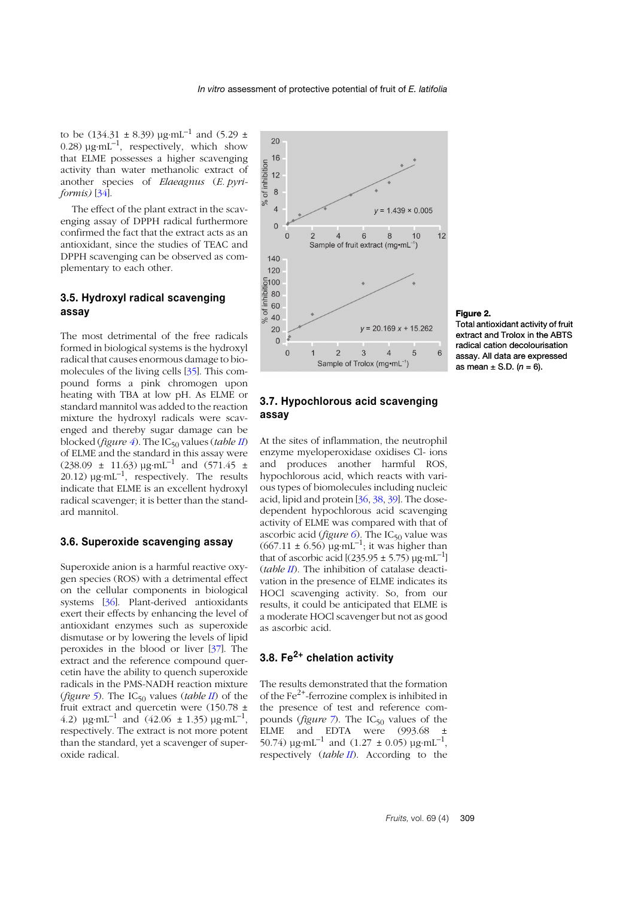to be (134.31  $\pm$  8.39) µg⋅mL<sup>-1</sup> and (5.29  $\pm$ 0.28)  $\mu$ g⋅mL<sup>-1</sup>, respectively, which show that ELME possesses a higher scavenging activity than water methanolic extract of another species of *Elaeagnus* (*E. pyriformis)* [3[4](#page-10-15)].

The effect of the plant extract in the scavenging assay of DPPH radical furthermore confirmed the fact that the extract acts as an antioxidant, since the studies of TEAC and DPPH scavenging can be observed as complementary to each other.

### **3.5. Hydroxyl radical scavenging assay**

The most detrimental of the free radicals formed in biological systems is the hydroxyl radical that causes enormous damage to biomolecules of the living cells [3[5](#page-10-16)]. This compound forms a pink chromogen upon heating with TBA at low pH. As ELME or standard mannitol was added to the reaction mixture the hydroxyl radicals were scavenged and thereby sugar damage can be blocked (*figure*  $\hat{4}$  $\hat{4}$  $\hat{4}$ ). The IC<sub>50</sub> values (*table [II](#page-7-0)*) of ELME and the standard in this assay were  $(238.09 \pm 11.63) \mu$ g⋅mL<sup>-1</sup> and  $(571.45 \pm 11.63)$ 20.12)  $\mu$ g⋅mL<sup>-1</sup>, respectively. The results indicate that ELME is an excellent hydroxyl radical scavenger; it is better than the standard mannitol.

### **3.6. Superoxide scavenging assay**

Superoxide anion is a harmful reactive oxygen species (ROS) with a detrimental effect on the cellular components in biological systems [[36](#page-10-17)]. Plant-derived antioxidants exert their effects by enhancing the level of antioxidant enzymes such as superoxide dismutase or by lowering the levels of lipid peroxides in the blood or liver [37]. The extract and the reference compound quercetin have the ability to quench superoxide radicals in the PMS-NADH reaction mixture (*figure* [5](#page-7-3)). The IC<sub>50</sub> values (*table [II](#page-7-0)*) of the fruit extract and quercetin were (150.78 ± 4.2)  $\mu$ g⋅mL<sup>-1</sup> and (42.06 ± 1.35)  $\mu$ g⋅mL<sup>-1</sup>, respectively. The extract is not more potent than the standard, yet a scavenger of superoxide radical.



### <span id="page-6-0"></span>**Figure 2.** Total antioxidant activity of fruit

extract and Trolox in the ABTS radical cation decolourisation assay. All data are expressed as mean  $\pm$  S.D. ( $n = 6$ ).

## **3.7. Hypochlorous acid scavenging assay**

At the sites of inflammation, the neutrophil enzyme myeloperoxidase oxidises Cl- ions and produces another harmful ROS, hypochlorous acid, which reacts with various types of biomolecules including nucleic acid, lipid and protein [[36](#page-10-17), [38](#page-10-18), [39](#page-10-19)]. The dosedependent hypochlorous acid scavenging activity of ELME was compared with that of ascorbic acid (*figure*  $\overline{6}$  $\overline{6}$  $\overline{6}$ ). The IC<sub>50</sub> value was  $(667.11 \pm 6.56)$  µg⋅mL<sup>-1</sup>; it was higher than that of ascorbic acid  $[(235.95 \pm 5.75) \text{ µg} \cdot \text{mL}^{-1}]$ (*table [II](#page-7-0)*). The inhibition of catalase deactivation in the presence of ELME indicates its HOCl scavenging activity. So, from our results, it could be anticipated that ELME is a moderate HOCl scavenger but not as good as ascorbic acid.

# **3.8. Fe2+ chelation activity**

The results demonstrated that the formation of the  $Fe<sup>2+</sup>$ -ferrozine complex is inhibited in the presence of test and reference compounds (*figure*  $\frac{7}{2}$  $\frac{7}{2}$  $\frac{7}{2}$ ). The IC<sub>50</sub> values of the ELME and EDTA were (993.68 ± 50.74)  $\mu$ g⋅mL<sup>-1</sup> and (1.27 ± 0.05)  $\mu$ g⋅mL<sup>-1</sup>, respectively (*table I[I](#page-7-0)*). According to the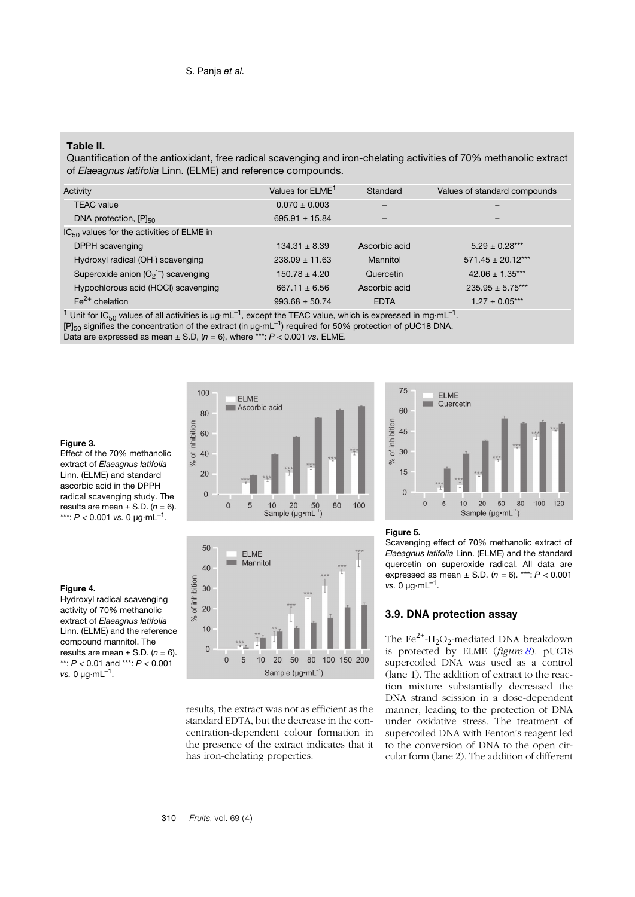#### <span id="page-7-0"></span>**Table II.**

Quantification of the antioxidant, free radical scavenging and iron-chelating activities of 70% methanolic extract of *Elaeagnus latifolia* Linn. (ELME) and reference compounds.

| Activity                                       | Values for ELME <sup>1</sup> | Standard                     | Values of standard compounds |  |
|------------------------------------------------|------------------------------|------------------------------|------------------------------|--|
| <b>TEAC</b> value                              | $0.070 \pm 0.003$            | $\qquad \qquad \blacksquare$ |                              |  |
| DNA protection, $[P]_{50}$                     | $695.91 \pm 15.84$           | -                            |                              |  |
| $IC_{50}$ values for the activities of ELME in |                              |                              |                              |  |
| DPPH scavenging                                | $134.31 \pm 8.39$            | Ascorbic acid                | $5.29 + 0.28***$             |  |
| Hydroxyl radical (OH ) scavenging              | $238.09 \pm 11.63$           | Mannitol                     | $571.45 \pm 20.12***$        |  |
| Superoxide anion $(O_2^-)$ scavenging          | $150.78 \pm 4.20$            | Quercetin                    | $42.06 \pm 1.35***$          |  |
| Hypochlorous acid (HOCI) scavenging            | $667.11 \pm 6.56$            | Ascorbic acid                | $235.95 \pm 5.75***$         |  |
| $Fe2+$ chelation                               | $993.68 \pm 50.74$           | <b>EDTA</b>                  | $1.27 \pm 0.05***$           |  |

<sup>1</sup> Unit for IC<sub>50</sub> values of all activities is  $\mu$ g⋅mL<sup>-1</sup>, except the TEAC value, which is expressed in mg⋅mL<sup>-1</sup>. [P]<sub>50</sub> signifies the concentration of the extract (in µg⋅mL<sup>-1</sup>) required for 50% protection of pUC18 DNA. Data are expressed as mean ± S.D, (*n* = 6), where \*\*\*: *P* < 0.001 *vs*. ELME.

#### <span id="page-7-1"></span>**Figure 3.**

Effect of the 70% methanolic extract of *Elaeagnus latifolia* Linn. (ELME) and standard ascorbic acid in the DPPH radical scavenging study. The results are mean  $\pm$  S.D. ( $n = 6$ ). \*\*\*: *P* < 0.001 *vs.* 0 µg⋅mL–1.

#### <span id="page-7-2"></span>**Figure 4.**

Hydroxyl radical scavenging activity of 70% methanolic extract of *Elaeagnus latifolia* Linn. (ELME) and the reference compound mannitol. The results are mean  $\pm$  S.D. ( $n = 6$ ). \*\*: *P* < 0.01 and \*\*\*: *P* < 0.001 *vs.* 0 µg⋅mL–1.





results, the extract was not as efficient as the standard EDTA, but the decrease in the concentration-dependent colour formation in the presence of the extract indicates that it has iron-chelating properties.



#### <span id="page-7-3"></span>**Figure 5.**

Scavenging effect of 70% methanolic extract of *Elaeagnus latifolia* Linn. (ELME) and the standard quercetin on superoxide radical. All data are expressed as mean  $\pm$  S.D. ( $n = 6$ ). \*\*\*:  $P < 0.001$ *vs.* 0 μg⋅mL<sup>-1</sup>.

### **3.9. DNA protection assay**

The Fe<sup>2+</sup>-H<sub>2</sub>O<sub>2</sub>-mediated DNA breakdown is protected by ELME (*figure [8](#page-9-15)*). pUC18 supercoiled DNA was used as a control (lane 1). The addition of extract to the reaction mixture substantially decreased the DNA strand scission in a dose-dependent manner, leading to the protection of DNA under oxidative stress. The treatment of supercoiled DNA with Fenton's reagent led to the conversion of DNA to the open circular form (lane 2). The addition of different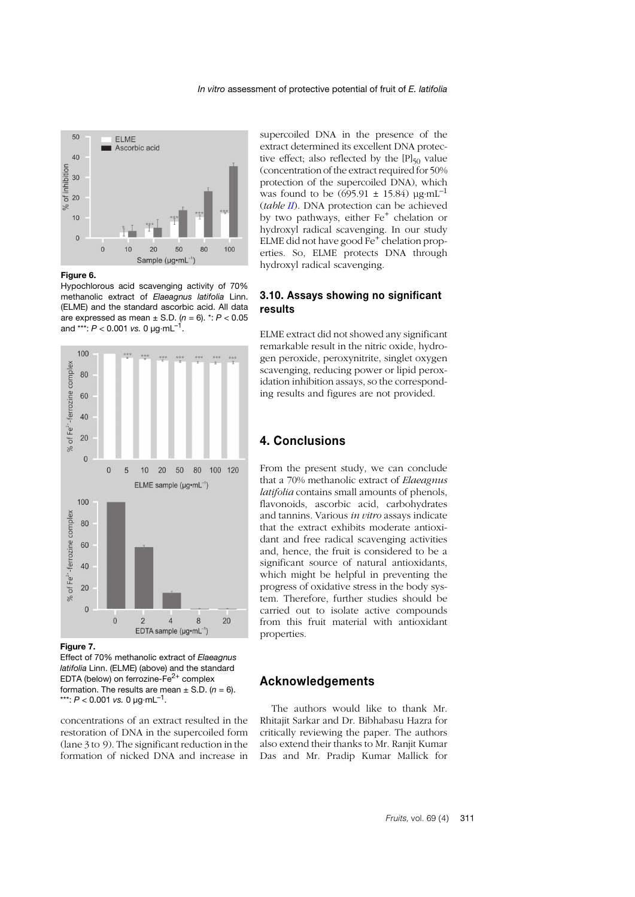

<span id="page-8-0"></span>**Figure 6.**

Hypochlorous acid scavenging activity of 70% methanolic extract of *Elaeagnus latifolia* Linn. (ELME) and the standard ascorbic acid. All data are expressed as mean ± S.D. (*n* = 6). \*: *P* < 0.05 and \*\*\*:  $P < 0.001$  *vs.* 0  $\mu$ g⋅mL<sup>-1</sup>.



<span id="page-8-1"></span>**Figure 7.**

Effect of 70% methanolic extract of *Elaeagnus latifolia* Linn. (ELME) (above) and the standard EDTA (below) on ferrozine- $Fe<sup>2+</sup>$  complex formation. The results are mean  $\pm$  S.D. ( $n = 6$ ). \*\*\*:  $P < 0.001$  *vs.* 0  $\mu$ g⋅mL<sup>-1</sup>.

concentrations of an extract resulted in the restoration of DNA in the supercoiled form (lane 3 to 9). The significant reduction in the formation of nicked DNA and increase in

supercoiled DNA in the presence of the extract determined its excellent DNA protective effect; also reflected by the  $[P]_{50}$  value (concentration of the extract required for 50% protection of the supercoiled DNA), which was found to be  $(695.91 \pm 15.84)$  ug⋅mL<sup>-1</sup> (*table I[I](#page-7-0)*). DNA protection can be achieved by two pathways, either  $Fe<sup>+</sup>$  chelation or hydroxyl radical scavenging. In our study ELME did not have good  $Fe<sup>+</sup>$  chelation properties. So, ELME protects DNA through hydroxyl radical scavenging.

### **3.10. Assays showing no significant results**

ELME extract did not showed any significant remarkable result in the nitric oxide, hydrogen peroxide, peroxynitrite, singlet oxygen scavenging, reducing power or lipid peroxidation inhibition assays, so the corresponding results and figures are not provided.

# **4. Conclusions**

From the present study, we can conclude that a 70% methanolic extract of *Elaeagnus latifolia* contains small amounts of phenols, flavonoids, ascorbic acid, carbohydrates and tannins. Various *in vitro* assays indicate that the extract exhibits moderate antioxidant and free radical scavenging activities and, hence, the fruit is considered to be a significant source of natural antioxidants, which might be helpful in preventing the progress of oxidative stress in the body system. Therefore, further studies should be carried out to isolate active compounds from this fruit material with antioxidant properties.

# **Acknowledgements**

The authors would like to thank Mr. Rhitajit Sarkar and Dr. Bibhabasu Hazra for critically reviewing the paper. The authors also extend their thanks to Mr. Ranjit Kumar Das and Mr. Pradip Kumar Mallick for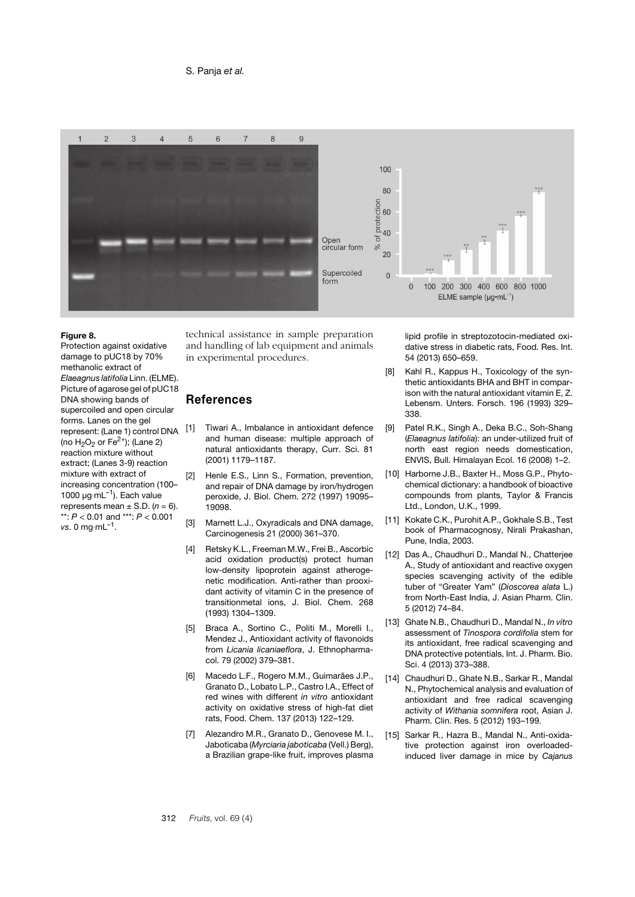

#### <span id="page-9-15"></span>**Figure 8.**

Protection against oxidative damage to pUC18 by 70% methanolic extract of *Elaeagnus latifolia* Linn. (ELME). Picture of agarose gel of pUC18 DNA showing bands of supercoiled and open circular forms. Lanes on the gel represent: (Lane 1) control DNA (no  $H_2O_2$  or Fe<sup>2+</sup>); (Lane 2) reaction mixture without extract; (Lanes 3-9) reaction mixture with extract of increasing concentration (100– 1000  $\mu$ g⋅mL<sup>-1</sup>). Each value represents mean  $\pm$  S.D. ( $n = 6$ ). \*\*: *P* < 0.01 and \*\*\*: *P* < 0.001 *vs*. 0 mg⋅mL–1.

technical assistance in sample preparation and handling of lab equipment and animals in experimental procedures.

# **References**

- <span id="page-9-0"></span>[1] Tiwari A., Imbalance in antioxidant defence and human disease: multiple approach of natural antioxidants therapy, Curr. Sci. 81 (2001) 1179–1187.
- <span id="page-9-1"></span>[2] Henle E.S., Linn S., Formation, prevention, and repair of DNA damage by iron/hydrogen peroxide, J. Biol. Chem. 272 (1997) 19095– 19098.
- <span id="page-9-2"></span>[3] Marnett L.J., Oxyradicals and DNA damage, Carcinogenesis 21 (2000) 361–370.
- <span id="page-9-3"></span>[4] Retsky K.L., Freeman M.W., Frei B., Ascorbic acid oxidation product(s) protect human low-density lipoprotein against atherogenetic modification. Anti-rather than prooxidant activity of vitamin C in the presence of transitionmetal ions, J. Biol. Chem. 268 (1993) 1304–1309.
- <span id="page-9-4"></span>[5] Braca A., Sortino C., Politi M., Morelli I., Mendez J., Antioxidant activity of flavonoids from *Licania licaniaeflora*, J. Ethnopharmacol. 79 (2002) 379–381.
- <span id="page-9-5"></span>[6] Macedo L.F., Rogero M.M., Guimarães J.P., Granato D., Lobato L.P., Castro I.A., Effect of red wines with different *in vitro* antioxidant activity on oxidative stress of high-fat diet rats, Food. Chem. 137 (2013) 122–129.
- <span id="page-9-6"></span>[7] Alezandro M.R., Granato D., Genovese M. I., Jaboticaba (*Myrciaria jaboticaba* (Vell.) Berg), a Brazilian grape-like fruit, improves plasma

lipid profile in streptozotocin-mediated oxidative stress in diabetic rats, Food. Res. Int. 54 (2013) 650–659.

- <span id="page-9-7"></span>[8] Kahl R., Kappus H., Toxicology of the synthetic antioxidants BHA and BHT in comparison with the natural antioxidant vitamin E, Z. Lebensm. Unters. Forsch. 196 (1993) 329– 338.
- <span id="page-9-8"></span>[9] Patel R.K., Singh A., Deka B.C., Soh-Shang (*Elaeagnus latifolia*): an under-utilized fruit of north east region needs domestication, ENVIS, Bull. Himalayan Ecol. 16 (2008) 1–2.
- <span id="page-9-9"></span>[10] Harborne J.B., Baxter H., Moss G.P., Phytochemical dictionary: a handbook of bioactive compounds from plants, Taylor & Francis Ltd., London, U.K., 1999.
- <span id="page-9-10"></span>[11] Kokate C.K., Purohit A.P., Gokhale S.B., Test book of Pharmacognosy, Nirali Prakashan, Pune, India, 2003.
- <span id="page-9-11"></span>[12] Das A., Chaudhuri D., Mandal N., Chatterjee A., Study of antioxidant and reactive oxygen species scavenging activity of the edible tuber of "Greater Yam" (*Dioscorea alata* L.) from North-East India, J. Asian Pharm. Clin. 5 (2012) 74–84.
- <span id="page-9-12"></span>[13] Ghate N.B., Chaudhuri D., Mandal N., *In vitro* assessment of *Tinospora cordifolia* stem for its antioxidant, free radical scavenging and DNA protective potentials, Int. J. Pharm. Bio. Sci. 4 (2013) 373–388.
- <span id="page-9-13"></span>[14] Chaudhuri D., Ghate N.B., Sarkar R., Mandal N., Phytochemical analysis and evaluation of antioxidant and free radical scavenging activity of *Withania somnifera* root, Asian J. Pharm. Clin. Res. 5 (2012) 193–199.
- <span id="page-9-14"></span>[15] Sarkar R., Hazra B., Mandal N., Anti-oxidative protection against iron overloadedinduced liver damage in mice by *Cajanus*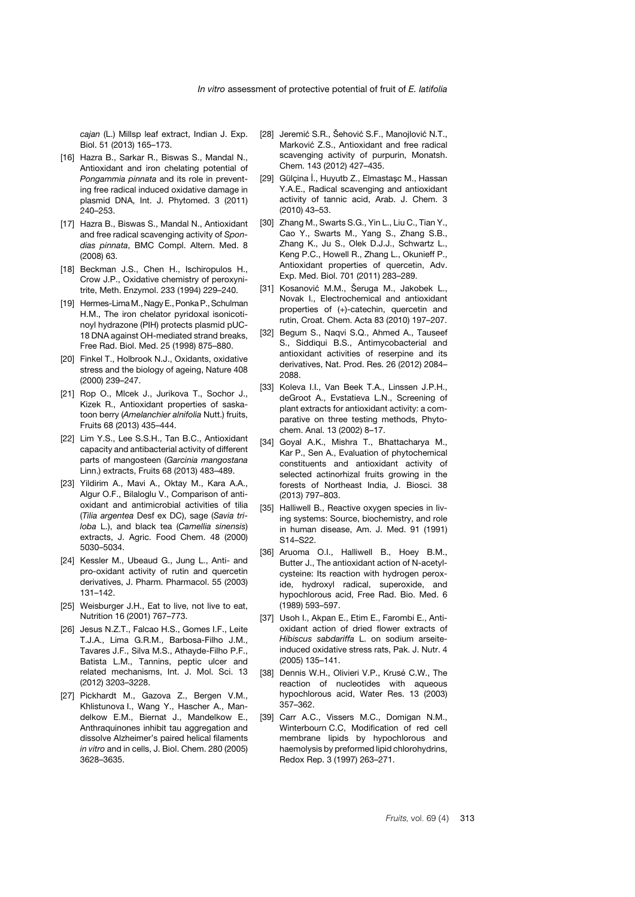*cajan* (L.) Millsp leaf extract, Indian J. Exp. Biol. 51 (2013) 165–173.

- <span id="page-10-0"></span>[16] Hazra B., Sarkar R., Biswas S., Mandal N., Antioxidant and iron chelating potential of *Pongammia pinnata* and its role in preventing free radical induced oxidative damage in plasmid DNA, Int. J. Phytomed. 3 (2011) 240–253.
- <span id="page-10-1"></span>[17] Hazra B., Biswas S., Mandal N., Antioxidant and free radical scavenging activity of *Spondias pinnata*, BMC Compl. Altern. Med. 8 (2008) 63.
- <span id="page-10-2"></span>[18] Beckman J.S., Chen H., Ischiropulos H., Crow J.P., Oxidative chemistry of peroxynitrite, Meth. Enzymol. 233 (1994) 229–240.
- <span id="page-10-3"></span>[19] Hermes-LimaM., Nagy E., Ponka P., Schulman H.M., The iron chelator pyridoxal isonicotinoyl hydrazone (PIH) protects plasmid pUC-18 DNA against OH-mediated strand breaks, Free Rad. Biol. Med. 25 (1998) 875–880.
- <span id="page-10-4"></span>[20] Finkel T., Holbrook N.J., Oxidants, oxidative stress and the biology of ageing, Nature 408 (2000) 239–247.
- <span id="page-10-5"></span>[21] Rop O., Mlcek J., Jurikova T., Sochor J., Kizek R., Antioxidant properties of saskatoon berry (*Amelanchier alnifolia* Nutt.) fruits, Fruits 68 (2013) 435–444.
- <span id="page-10-6"></span>[22] Lim Y.S., Lee S.S.H., Tan B.C., Antioxidant capacity and antibacterial activity of different parts of mangosteen (*Garcinia mangostana* Linn.) extracts, Fruits 68 (2013) 483–489.
- <span id="page-10-7"></span>[23] Yildirim A., Mavi A., Oktay M., Kara A.A., Algur O.F., Bilaloglu V., Comparison of antioxidant and antimicrobial activities of tilia (*Tilia argentea* Desf ex DC), sage (*Savia triloba* L.), and black tea (*Camellia sinensis*) extracts, J. Agric. Food Chem. 48 (2000) 5030–5034.
- <span id="page-10-8"></span>[24] Kessler M., Ubeaud G., Jung L., Anti- and pro-oxidant activity of rutin and quercetin derivatives, J. Pharm. Pharmacol. 55 (2003) 131–142.
- <span id="page-10-9"></span>[25] Weisburger J.H., Eat to live, not live to eat, Nutrition 16 (2001) 767–773.
- <span id="page-10-10"></span>[26] Jesus N.Z.T., Falcao H.S., Gomes I.F., Leite T.J.A., Lima G.R.M., Barbosa-Filho J.M., Tavares J.F., Silva M.S., Athayde-Filho P.F., Batista L.M., Tannins, peptic ulcer and related mechanisms, Int. J. Mol. Sci. 13 (2012) 3203–3228.
- <span id="page-10-11"></span>[27] Pickhardt M., Gazova Z., Bergen V.M., Khlistunova I., Wang Y., Hascher A., Mandelkow E.M., Biernat J., Mandelkow E., Anthraquinones inhibit tau aggregation and dissolve Alzheimer's paired helical filaments *in vitro* and in cells, J. Biol. Chem. 280 (2005) 3628–3635.
- <span id="page-10-12"></span>[28] Jeremić S.R., Šehović S.F., Manojlović N.T., Marković Z.S., Antioxidant and free radical scavenging activity of purpurin, Monatsh. Chem. 143 (2012) 427–435.
- [29] Gülçina İ., Huyutb Z., Elmastaşc M., Hassan Y.A.E., Radical scavenging and antioxidant activity of tannic acid, Arab. J. Chem. 3 (2010) 43–53.
- [30] Zhang M., Swarts S.G., Yin L., Liu C., Tian Y., Cao Y., Swarts M., Yang S., Zhang S.B., Zhang K., Ju S., Olek D.J.J., Schwartz L., Keng P.C., Howell R., Zhang L., Okunieff P., Antioxidant properties of quercetin, Adv. Exp. Med. Biol. 701 (2011) 283–289.
- [31] Kosanović M.M., Šeruga M., Jakobek L., Novak I., Electrochemical and antioxidant properties of (+)-catechin, quercetin and rutin, Croat. Chem. Acta 83 (2010) 197–207.
- <span id="page-10-13"></span>[32] Begum S., Nagvi S.Q., Ahmed A., Tauseef S., Siddiqui B.S., Antimycobacterial and antioxidant activities of reserpine and its derivatives, Nat. Prod. Res. 26 (2012) 2084– 2088.
- <span id="page-10-14"></span>[33] Koleva I.I., Van Beek T.A., Linssen J.P.H., deGroot A., Evstatieva L.N., Screening of plant extracts for antioxidant activity: a comparative on three testing methods, Phytochem. Anal. 13 (2002) 8–17.
- <span id="page-10-15"></span>[34] Goyal A.K., Mishra T., Bhattacharya M., Kar P., Sen A., Evaluation of phytochemical constituents and antioxidant activity of selected actinorhizal fruits growing in the forests of Northeast India, J. Biosci. 38 (2013) 797–803.
- <span id="page-10-16"></span>[35] Halliwell B., Reactive oxygen species in living systems: Source, biochemistry, and role in human disease, Am. J. Med. 91 (1991) S14–S22.
- <span id="page-10-17"></span>[36] Aruoma O.I., Halliwell B., Hoey B.M., Butter J., The antioxidant action of N-acetylcysteine: Its reaction with hydrogen peroxide, hydroxyl radical, superoxide, and hypochlorous acid, Free Rad. Bio. Med. 6 (1989) 593–597.
- [37] Usoh I., Akpan E., Etim E., Farombi E., Antioxidant action of dried flower extracts of *Hibiscus sabdariffa* L. on sodium arseiteinduced oxidative stress rats, Pak. J. Nutr. 4 (2005) 135–141.
- <span id="page-10-18"></span>[38] Dennis W.H., Olivieri V.P., Krusé C.W., The reaction of nucleotides with aqueous hypochlorous acid, Water Res. 13 (2003) 357–362.
- <span id="page-10-19"></span>[39] Carr A.C., Vissers M.C., Domigan N.M., Winterbourn C.C, Modification of red cell membrane lipids by hypochlorous and haemolysis by preformed lipid chlorohydrins, Redox Rep. 3 (1997) 263–271.